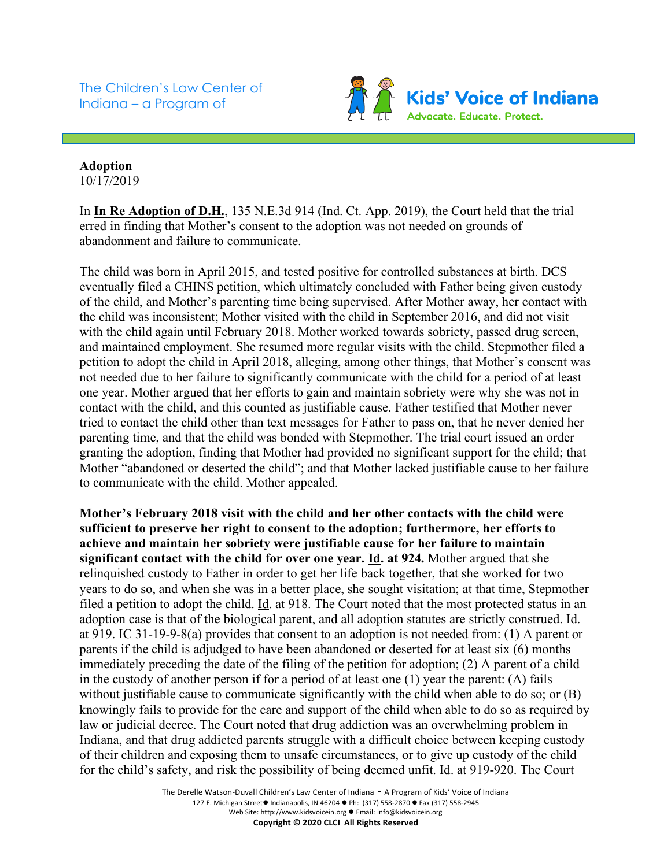The Children's Law Center of Indiana – a Program of



## **Adoption** 10/17/2019

In **In Re Adoption of D.H.**, 135 N.E.3d 914 (Ind. Ct. App. 2019), the Court held that the trial erred in finding that Mother's consent to the adoption was not needed on grounds of abandonment and failure to communicate.

The child was born in April 2015, and tested positive for controlled substances at birth. DCS eventually filed a CHINS petition, which ultimately concluded with Father being given custody of the child, and Mother's parenting time being supervised. After Mother away, her contact with the child was inconsistent; Mother visited with the child in September 2016, and did not visit with the child again until February 2018. Mother worked towards sobriety, passed drug screen, and maintained employment. She resumed more regular visits with the child. Stepmother filed a petition to adopt the child in April 2018, alleging, among other things, that Mother's consent was not needed due to her failure to significantly communicate with the child for a period of at least one year. Mother argued that her efforts to gain and maintain sobriety were why she was not in contact with the child, and this counted as justifiable cause. Father testified that Mother never tried to contact the child other than text messages for Father to pass on, that he never denied her parenting time, and that the child was bonded with Stepmother. The trial court issued an order granting the adoption, finding that Mother had provided no significant support for the child; that Mother "abandoned or deserted the child"; and that Mother lacked justifiable cause to her failure to communicate with the child. Mother appealed.

**Mother's February 2018 visit with the child and her other contacts with the child were sufficient to preserve her right to consent to the adoption; furthermore, her efforts to achieve and maintain her sobriety were justifiable cause for her failure to maintain significant contact with the child for over one year. Id. at 924.** Mother argued that she relinquished custody to Father in order to get her life back together, that she worked for two years to do so, and when she was in a better place, she sought visitation; at that time, Stepmother filed a petition to adopt the child. Id. at 918. The Court noted that the most protected status in an adoption case is that of the biological parent, and all adoption statutes are strictly construed. Id. at 919. IC 31-19-9-8(a) provides that consent to an adoption is not needed from: (1) A parent or parents if the child is adjudged to have been abandoned or deserted for at least six (6) months immediately preceding the date of the filing of the petition for adoption; (2) A parent of a child in the custody of another person if for a period of at least one (1) year the parent: (A) fails without justifiable cause to communicate significantly with the child when able to do so; or (B) knowingly fails to provide for the care and support of the child when able to do so as required by law or judicial decree. The Court noted that drug addiction was an overwhelming problem in Indiana, and that drug addicted parents struggle with a difficult choice between keeping custody of their children and exposing them to unsafe circumstances, or to give up custody of the child for the child's safety, and risk the possibility of being deemed unfit. Id. at 919-920. The Court

> The Derelle Watson-Duvall Children's Law Center of Indiana - A Program of Kids' Voice of Indiana 127 E. Michigan Street● Indianapolis, IN 46204 ● Ph: (317) 558-2870 ● Fax (317) 558-2945 Web Site: http://www.kidsvoicein.org • Email: info@kidsvoicein.org